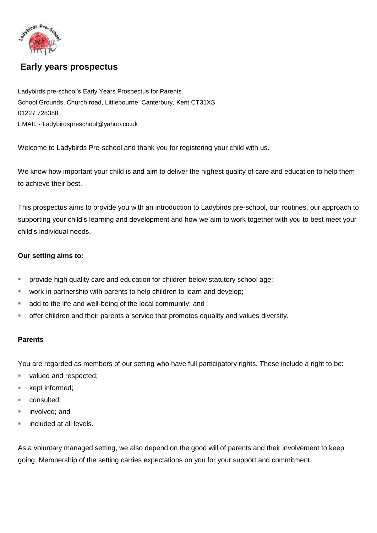

# **Early years prospectus**

Ladybirds pre-school's Early Years Prospectus for Parents School Grounds, Church road, Littlebourne, Canterbury, Kent CT31XS 01227 728388 EMAIL - Ladybirdspreschool@yahoo.co.uk

Welcome to Ladybirds Pre-school and thank you for registering your child with us.

We know how important your child is and aim to deliver the highest quality of care and education to help them to achieve their best.

This prospectus aims to provide you with an introduction to Ladybirds pre-school, our routines, our approach to supporting your child's learning and development and how we aim to work together with you to best meet your child's individual needs.

#### **Our setting aims to:**

- **provide high quality care and education for children below statutory school age;**
- **•** work in partnership with parents to help children to learn and develop;
- add to the life and well-being of the local community; and
- offer children and their parents a service that promotes equality and values diversity.

#### **Parents**

You are regarded as members of our setting who have full participatory rights. These include a right to be:

- valued and respected;
- **kept informed;**
- consulted;
- **n** involved; and
- **included at all levels.**

As a voluntary managed setting, we also depend on the good will of parents and their involvement to keep going. Membership of the setting carries expectations on you for your support and commitment.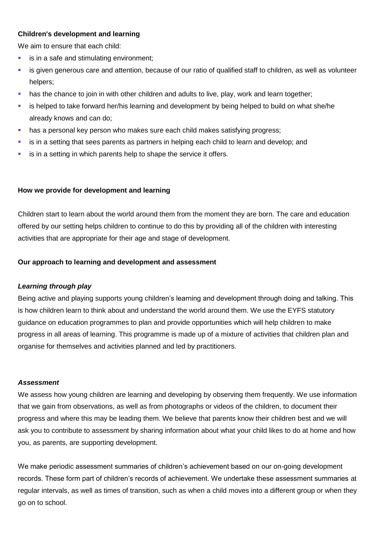### **Children's development and learning**

We aim to ensure that each child:

- **is in a safe and stimulating environment;**
- is given generous care and attention, because of our ratio of qualified staff to children, as well as volunteer helpers:
- **has the chance to join in with other children and adults to live, play, work and learn together;**
- is helped to take forward her/his learning and development by being helped to build on what she/he already knows and can do;
- has a personal key person who makes sure each child makes satisfying progress;
- is in a setting that sees parents as partners in helping each child to learn and develop; and
- **is in a setting in which parents help to shape the service it offers.**

## **How we provide for development and learning**

Children start to learn about the world around them from the moment they are born. The care and education offered by our setting helps children to continue to do this by providing all of the children with interesting activities that are appropriate for their age and stage of development.

### **Our approach to learning and development and assessment**

#### *Learning through play*

Being active and playing supports young children's learning and development through doing and talking. This is how children learn to think about and understand the world around them. We use the EYFS statutory guidance on education programmes to plan and provide opportunities which will help children to make progress in all areas of learning. This programme is made up of a mixture of activities that children plan and organise for themselves and activities planned and led by practitioners.

#### *Assessment*

We assess how young children are learning and developing by observing them frequently. We use information that we gain from observations, as well as from photographs or videos of the children, to document their progress and where this may be leading them. We believe that parents know their children best and we will ask you to contribute to assessment by sharing information about what your child likes to do at home and how you, as parents, are supporting development.

We make periodic assessment summaries of children's achievement based on our on-going development records. These form part of children's records of achievement. We undertake these assessment summaries at regular intervals, as well as times of transition, such as when a child moves into a different group or when they go on to school.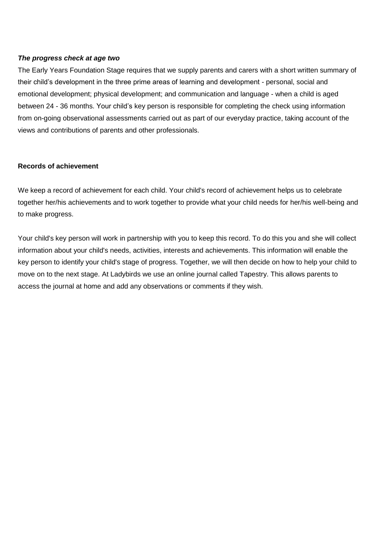### *The progress check at age two*

The Early Years Foundation Stage requires that we supply parents and carers with a short written summary of their child's development in the three prime areas of learning and development - personal, social and emotional development; physical development; and communication and language - when a child is aged between 24 - 36 months. Your child's key person is responsible for completing the check using information from on-going observational assessments carried out as part of our everyday practice, taking account of the views and contributions of parents and other professionals.

### **Records of achievement**

We keep a record of achievement for each child. Your child's record of achievement helps us to celebrate together her/his achievements and to work together to provide what your child needs for her/his well-being and to make progress.

Your child's key person will work in partnership with you to keep this record. To do this you and she will collect information about your child's needs, activities, interests and achievements. This information will enable the key person to identify your child's stage of progress. Together, we will then decide on how to help your child to move on to the next stage. At Ladybirds we use an online journal called Tapestry. This allows parents to access the journal at home and add any observations or comments if they wish.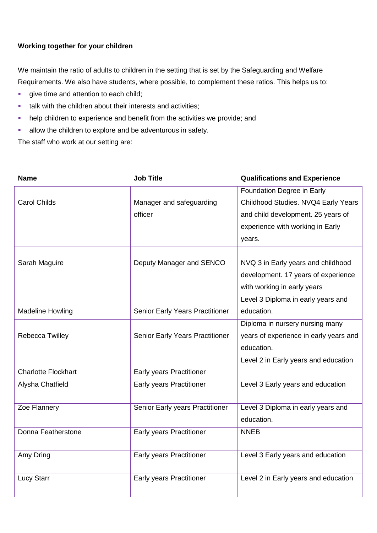## **Working together for your children**

We maintain the ratio of adults to children in the setting that is set by the Safeguarding and Welfare Requirements. We also have students, where possible, to complement these ratios. This helps us to:

- qive time and attention to each child;
- **talk with the children about their interests and activities;**
- help children to experience and benefit from the activities we provide; and
- allow the children to explore and be adventurous in safety.

The staff who work at our setting are:

| <b>Name</b>                | <b>Job Title</b>                | <b>Qualifications and Experience</b>   |
|----------------------------|---------------------------------|----------------------------------------|
|                            |                                 | Foundation Degree in Early             |
| <b>Carol Childs</b>        | Manager and safeguarding        | Childhood Studies. NVQ4 Early Years    |
|                            | officer                         | and child development. 25 years of     |
|                            |                                 | experience with working in Early       |
|                            |                                 | years.                                 |
|                            |                                 |                                        |
| Sarah Maguire              | Deputy Manager and SENCO        | NVQ 3 in Early years and childhood     |
|                            |                                 | development. 17 years of experience    |
|                            |                                 | with working in early years            |
|                            |                                 | Level 3 Diploma in early years and     |
| <b>Madeline Howling</b>    | Senior Early Years Practitioner | education.                             |
|                            |                                 | Diploma in nursery nursing many        |
| Rebecca Twilley            | Senior Early Years Practitioner | years of experience in early years and |
|                            |                                 | education.                             |
|                            |                                 | Level 2 in Early years and education   |
| <b>Charlotte Flockhart</b> | Early years Practitioner        |                                        |
| Alysha Chatfield           | Early years Practitioner        | Level 3 Early years and education      |
|                            |                                 |                                        |
| Zoe Flannery               | Senior Early years Practitioner | Level 3 Diploma in early years and     |
|                            |                                 | education.                             |
| Donna Featherstone         | Early years Practitioner        | <b>NNEB</b>                            |
|                            |                                 |                                        |
| Amy Dring                  | Early years Practitioner        | Level 3 Early years and education      |
|                            |                                 |                                        |
| <b>Lucy Starr</b>          | Early years Practitioner        | Level 2 in Early years and education   |
|                            |                                 |                                        |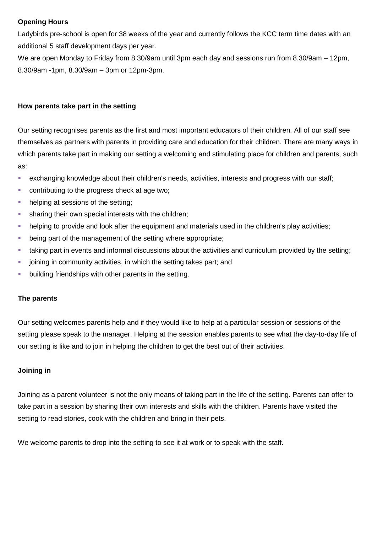## **Opening Hours**

Ladybirds pre-school is open for 38 weeks of the year and currently follows the KCC term time dates with an additional 5 staff development days per year.

We are open Monday to Friday from 8.30/9am until 3pm each day and sessions run from 8.30/9am – 12pm, 8.30/9am -1pm, 8.30/9am – 3pm or 12pm-3pm.

### **How parents take part in the setting**

Our setting recognises parents as the first and most important educators of their children. All of our staff see themselves as partners with parents in providing care and education for their children. There are many ways in which parents take part in making our setting a welcoming and stimulating place for children and parents, such as:

- exchanging knowledge about their children's needs, activities, interests and progress with our staff;
- **CONTREGIST CONTREGIST CONTREGIST** contributing to the progress check at age two;
- helping at sessions of the setting;
- **sharing their own special interests with the children;**
- helping to provide and look after the equipment and materials used in the children's play activities;
- **•** being part of the management of the setting where appropriate;
- taking part in events and informal discussions about the activities and curriculum provided by the setting;
- joining in community activities, in which the setting takes part; and
- **•** building friendships with other parents in the setting.

## **The parents**

Our setting welcomes parents help and if they would like to help at a particular session or sessions of the setting please speak to the manager. Helping at the session enables parents to see what the day-to-day life of our setting is like and to join in helping the children to get the best out of their activities.

## **Joining in**

Joining as a parent volunteer is not the only means of taking part in the life of the setting. Parents can offer to take part in a session by sharing their own interests and skills with the children. Parents have visited the setting to read stories, cook with the children and bring in their pets.

We welcome parents to drop into the setting to see it at work or to speak with the staff.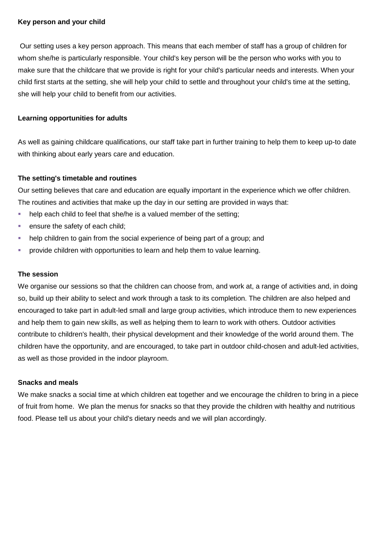#### **Key person and your child**

Our setting uses a key person approach. This means that each member of staff has a group of children for whom she/he is particularly responsible. Your child's key person will be the person who works with you to make sure that the childcare that we provide is right for your child's particular needs and interests. When your child first starts at the setting, she will help your child to settle and throughout your child's time at the setting, she will help your child to benefit from our activities.

### **Learning opportunities for adults**

As well as gaining childcare qualifications, our staff take part in further training to help them to keep up-to date with thinking about early years care and education.

### **The setting's timetable and routines**

Our setting believes that care and education are equally important in the experience which we offer children. The routines and activities that make up the day in our setting are provided in ways that:

- help each child to feel that she/he is a valued member of the setting;
- **ensure the safety of each child;**
- help children to gain from the social experience of being part of a group; and
- **Perovide children with opportunities to learn and help them to value learning.**

#### **The session**

We organise our sessions so that the children can choose from, and work at, a range of activities and, in doing so, build up their ability to select and work through a task to its completion. The children are also helped and encouraged to take part in adult-led small and large group activities, which introduce them to new experiences and help them to gain new skills, as well as helping them to learn to work with others. Outdoor activities contribute to children's health, their physical development and their knowledge of the world around them. The children have the opportunity, and are encouraged, to take part in outdoor child-chosen and adult-led activities, as well as those provided in the indoor playroom.

#### **Snacks and meals**

We make snacks a social time at which children eat together and we encourage the children to bring in a piece of fruit from home. We plan the menus for snacks so that they provide the children with healthy and nutritious food. Please tell us about your child's dietary needs and we will plan accordingly.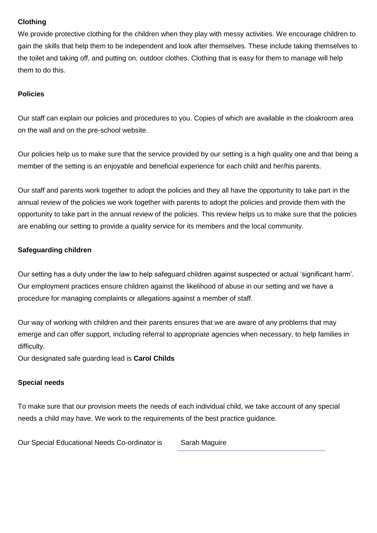## **Clothing**

We provide protective clothing for the children when they play with messy activities. We encourage children to gain the skills that help them to be independent and look after themselves. These include taking themselves to the toilet and taking off, and putting on, outdoor clothes. Clothing that is easy for them to manage will help them to do this.

## **Policies**

Our staff can explain our policies and procedures to you. Copies of which are available in the cloakroom area on the wall and on the pre-school website.

Our policies help us to make sure that the service provided by our setting is a high quality one and that being a member of the setting is an enjoyable and beneficial experience for each child and her/his parents.

Our staff and parents work together to adopt the policies and they all have the opportunity to take part in the annual review of the policies we work together with parents to adopt the policies and provide them with the opportunity to take part in the annual review of the policies. This review helps us to make sure that the policies are enabling our setting to provide a quality service for its members and the local community.

## **Safeguarding children**

Our setting has a duty under the law to help safeguard children against suspected or actual 'significant harm'. Our employment practices ensure children against the likelihood of abuse in our setting and we have a procedure for managing complaints or allegations against a member of staff.

Our way of working with children and their parents ensures that we are aware of any problems that may emerge and can offer support, including referral to appropriate agencies when necessary, to help families in difficulty.

Our designated safe guarding lead is **Carol Childs**

## **Special needs**

To make sure that our provision meets the needs of each individual child, we take account of any special needs a child may have. We work to the requirements of the best practice guidance.

Our Special Educational Needs Co-ordinator is Sarah Maguire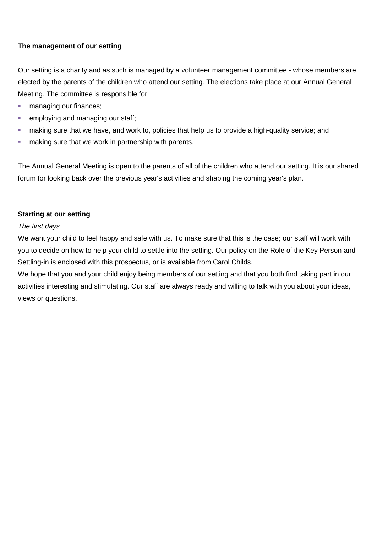## **The management of our setting**

Our setting is a charity and as such is managed by a volunteer management committee - whose members are elected by the parents of the children who attend our setting. The elections take place at our Annual General Meeting. The committee is responsible for:

- **managing our finances;**
- **EXECUTE:** employing and managing our staff;
- making sure that we have, and work to, policies that help us to provide a high-quality service; and
- **naking sure that we work in partnership with parents.**

The Annual General Meeting is open to the parents of all of the children who attend our setting. It is our shared forum for looking back over the previous year's activities and shaping the coming year's plan.

### **Starting at our setting**

### *The first days*

We want your child to feel happy and safe with us. To make sure that this is the case; our staff will work with you to decide on how to help your child to settle into the setting. Our policy on the Role of the Key Person and Settling-in is enclosed with this prospectus, or is available from Carol Childs.

We hope that you and your child enjoy being members of our setting and that you both find taking part in our activities interesting and stimulating. Our staff are always ready and willing to talk with you about your ideas, views or questions.